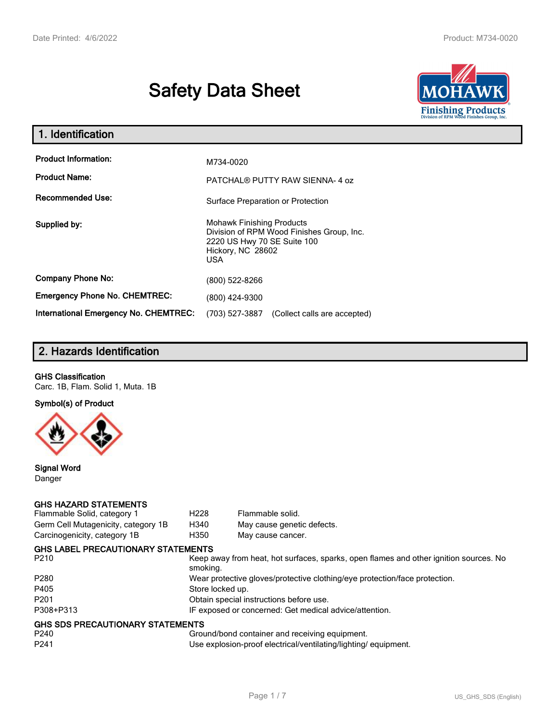# **Safety Data Sheet**



| 1. Identification                            |                                                                                                                                           |
|----------------------------------------------|-------------------------------------------------------------------------------------------------------------------------------------------|
| <b>Product Information:</b>                  | M734-0020                                                                                                                                 |
| <b>Product Name:</b>                         |                                                                                                                                           |
|                                              | PATCHAL® PUTTY RAW SIENNA-4 oz                                                                                                            |
| <b>Recommended Use:</b>                      | Surface Preparation or Protection                                                                                                         |
| Supplied by:                                 | <b>Mohawk Finishing Products</b><br>Division of RPM Wood Finishes Group, Inc.<br>2220 US Hwy 70 SE Suite 100<br>Hickory, NC 28602<br>USA. |
| <b>Company Phone No:</b>                     | (800) 522-8266                                                                                                                            |
| <b>Emergency Phone No. CHEMTREC:</b>         | (800) 424-9300                                                                                                                            |
| <b>International Emergency No. CHEMTREC:</b> | (703) 527-3887<br>(Collect calls are accepted)                                                                                            |

# **2. Hazards Identification**

## **GHS Classification**

Carc. 1B, Flam. Solid 1, Muta. 1B

**Symbol(s) of Product**



**Signal Word** Danger

### **GHS HAZARD STATEMENTS**

| Flammable Solid, category 1               | H <sub>228</sub>                                                                                  | Flammable solid.           |  |
|-------------------------------------------|---------------------------------------------------------------------------------------------------|----------------------------|--|
| Germ Cell Mutagenicity, category 1B       | H340                                                                                              | May cause genetic defects. |  |
| Carcinogenicity, category 1B              | H350                                                                                              | May cause cancer.          |  |
| <b>GHS LABEL PRECAUTIONARY STATEMENTS</b> |                                                                                                   |                            |  |
| P <sub>210</sub>                          | Keep away from heat, hot surfaces, sparks, open flames and other ignition sources. No<br>smoking. |                            |  |
| P <sub>280</sub>                          | Wear protective gloves/protective clothing/eye protection/face protection.                        |                            |  |
| P405                                      | Store locked up.                                                                                  |                            |  |
| P <sub>201</sub>                          | Obtain special instructions before use.                                                           |                            |  |
| P308+P313                                 | IF exposed or concerned: Get medical advice/attention.                                            |                            |  |
| <b>GHS SDS PRECAUTIONARY STATEMENTS</b>   |                                                                                                   |                            |  |
| P <sub>240</sub>                          | Ground/bond container and receiving equipment.                                                    |                            |  |
| P <sub>241</sub>                          | Use explosion-proof electrical/ventilating/lighting/equipment.                                    |                            |  |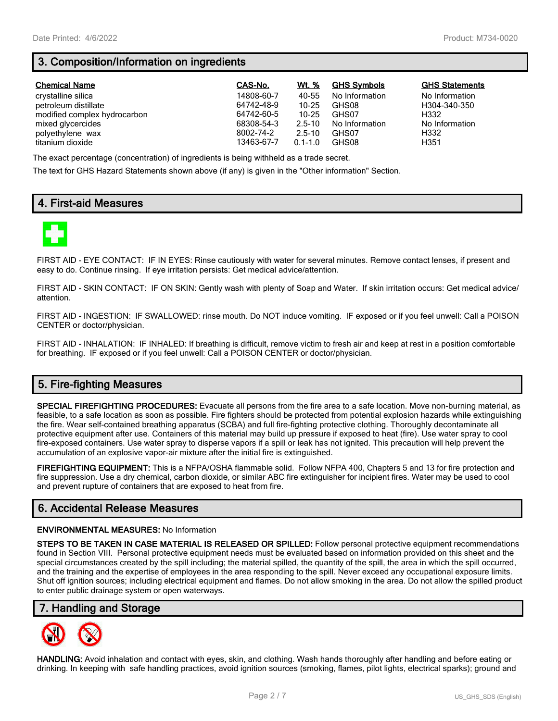# **3. Composition/Information on ingredients**

| <b>Chemical Name</b>         | CAS-No.    | Wt. %       | <b>GHS Symbols</b> | <b>GHS Statements</b> |
|------------------------------|------------|-------------|--------------------|-----------------------|
| crystalline silica           | 14808-60-7 | 40-55       | No Information     | No Information        |
| petroleum distillate         | 64742-48-9 | $10 - 25$   | GHS08              | H304-340-350          |
| modified complex hydrocarbon | 64742-60-5 | $10 - 25$   | GHS07              | H332                  |
| mixed glycercides            | 68308-54-3 | $2.5 - 10$  | No Information     | No Information        |
| polyethylene wax             | 8002-74-2  | $2.5 - 10$  | GHS07              | H332                  |
| titanium dioxide             | 13463-67-7 | $0.1 - 1.0$ | GHS08              | H351                  |

The exact percentage (concentration) of ingredients is being withheld as a trade secret.

The text for GHS Hazard Statements shown above (if any) is given in the "Other information" Section.

## **4. First-aid Measures**



FIRST AID - EYE CONTACT: IF IN EYES: Rinse cautiously with water for several minutes. Remove contact lenses, if present and easy to do. Continue rinsing. If eye irritation persists: Get medical advice/attention.

FIRST AID - SKIN CONTACT: IF ON SKIN: Gently wash with plenty of Soap and Water. If skin irritation occurs: Get medical advice/ attention.

FIRST AID - INGESTION: IF SWALLOWED: rinse mouth. Do NOT induce vomiting. IF exposed or if you feel unwell: Call a POISON CENTER or doctor/physician.

FIRST AID - INHALATION: IF INHALED: If breathing is difficult, remove victim to fresh air and keep at rest in a position comfortable for breathing. IF exposed or if you feel unwell: Call a POISON CENTER or doctor/physician.

# **5. Fire-fighting Measures**

**SPECIAL FIREFIGHTING PROCEDURES:** Evacuate all persons from the fire area to a safe location. Move non-burning material, as feasible, to a safe location as soon as possible. Fire fighters should be protected from potential explosion hazards while extinguishing the fire. Wear self-contained breathing apparatus (SCBA) and full fire-fighting protective clothing. Thoroughly decontaminate all protective equipment after use. Containers of this material may build up pressure if exposed to heat (fire). Use water spray to cool fire-exposed containers. Use water spray to disperse vapors if a spill or leak has not ignited. This precaution will help prevent the accumulation of an explosive vapor-air mixture after the initial fire is extinguished.

**FIREFIGHTING EQUIPMENT:** This is a NFPA/OSHA flammable solid. Follow NFPA 400, Chapters 5 and 13 for fire protection and fire suppression. Use a dry chemical, carbon dioxide, or similar ABC fire extinguisher for incipient fires. Water may be used to cool and prevent rupture of containers that are exposed to heat from fire.

## **6. Accidental Release Measures**

#### **ENVIRONMENTAL MEASURES:** No Information

**STEPS TO BE TAKEN IN CASE MATERIAL IS RELEASED OR SPILLED:** Follow personal protective equipment recommendations found in Section VIII. Personal protective equipment needs must be evaluated based on information provided on this sheet and the special circumstances created by the spill including; the material spilled, the quantity of the spill, the area in which the spill occurred, and the training and the expertise of employees in the area responding to the spill. Never exceed any occupational exposure limits. Shut off ignition sources; including electrical equipment and flames. Do not allow smoking in the area. Do not allow the spilled product to enter public drainage system or open waterways.

## **7. Handling and Storage**



**HANDLING:** Avoid inhalation and contact with eyes, skin, and clothing. Wash hands thoroughly after handling and before eating or drinking. In keeping with safe handling practices, avoid ignition sources (smoking, flames, pilot lights, electrical sparks); ground and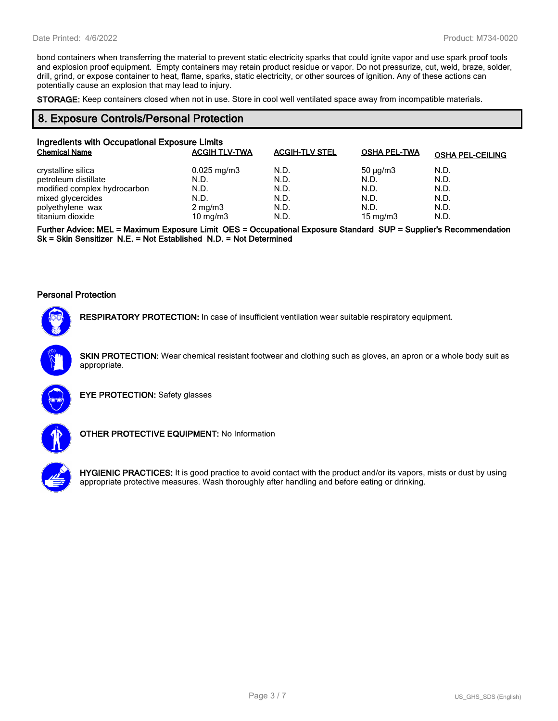bond containers when transferring the material to prevent static electricity sparks that could ignite vapor and use spark proof tools and explosion proof equipment. Empty containers may retain product residue or vapor. Do not pressurize, cut, weld, braze, solder, drill, grind, or expose container to heat, flame, sparks, static electricity, or other sources of ignition. Any of these actions can potentially cause an explosion that may lead to injury.

**STORAGE:** Keep containers closed when not in use. Store in cool well ventilated space away from incompatible materials.

## **8. Exposure Controls/Personal Protection**

| Ingredients with Occupational Exposure Limits |                         |                       |                     |                         |
|-----------------------------------------------|-------------------------|-----------------------|---------------------|-------------------------|
| <b>Chemical Name</b>                          | <b>ACGIH TLV-TWA</b>    | <b>ACGIH-TLV STEL</b> | <b>OSHA PEL-TWA</b> | <b>OSHA PEL-CEILING</b> |
| crystalline silica                            | $0.025 \,\mathrm{mg/m}$ | N.D.                  | $50 \mu q/m3$       | N.D.                    |
| petroleum distillate                          | N.D.                    | N.D.                  | N.D.                | N.D.                    |
| modified complex hydrocarbon                  | N.D.                    | N.D.                  | N.D.                | N.D.                    |
| mixed glycercides                             | N.D.                    | N.D.                  | N.D.                | N.D.                    |
| polyethylene wax                              | $2 \text{ mg/m}$ 3      | N.D.                  | N.D.                | N.D.                    |
| titanium dioxide                              | 10 mg/m $3$             | N.D.                  | 15 mg/m $3$         | N.D.                    |

**Further Advice: MEL = Maximum Exposure Limit OES = Occupational Exposure Standard SUP = Supplier's Recommendation Sk = Skin Sensitizer N.E. = Not Established N.D. = Not Determined**

#### **Personal Protection**



**RESPIRATORY PROTECTION:** In case of insufficient ventilation wear suitable respiratory equipment.

**SKIN PROTECTION:** Wear chemical resistant footwear and clothing such as gloves, an apron or a whole body suit as appropriate.



**EYE PROTECTION:** Safety glasses



**OTHER PROTECTIVE EQUIPMENT:** No Information



**HYGIENIC PRACTICES:** It is good practice to avoid contact with the product and/or its vapors, mists or dust by using appropriate protective measures. Wash thoroughly after handling and before eating or drinking.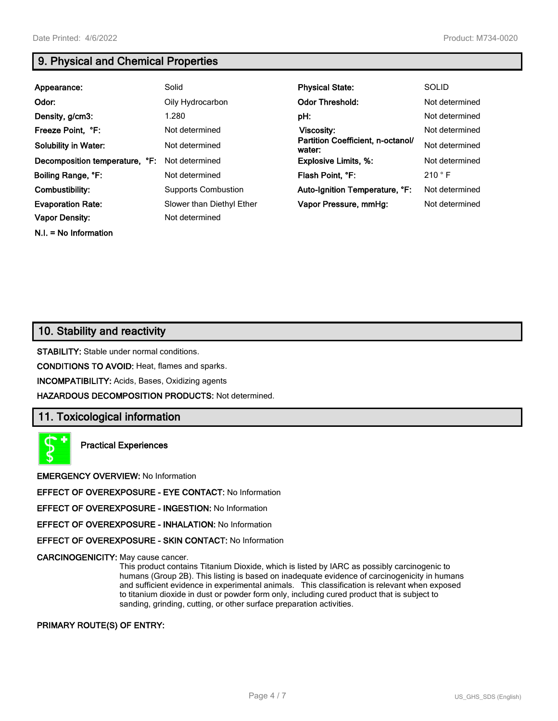**N.I. = No Information**

# **9. Physical and Chemical Properties**

| Appearance:                    | Solid                      | <b>Physical State:</b>                      | <b>SOLID</b>   |
|--------------------------------|----------------------------|---------------------------------------------|----------------|
| Odor:                          | Oily Hydrocarbon           | <b>Odor Threshold:</b>                      | Not determined |
| Density, g/cm3:                | 1.280                      | pH:                                         | Not determined |
| Freeze Point, °F:              | Not determined             | <b>Viscosity:</b>                           | Not determined |
| <b>Solubility in Water:</b>    | Not determined             | Partition Coefficient, n-octanol/<br>water: | Not determined |
| Decomposition temperature, °F: | Not determined             | <b>Explosive Limits, %:</b>                 | Not determined |
| Boiling Range, °F:             | Not determined             | Flash Point, °F:                            | 210 °F         |
| Combustibility:                | <b>Supports Combustion</b> | Auto-Ignition Temperature, °F:              | Not determined |
| <b>Evaporation Rate:</b>       | Slower than Diethyl Ether  | Vapor Pressure, mmHg:                       | Not determined |
| <b>Vapor Density:</b>          | Not determined             |                                             |                |

## **10. Stability and reactivity**

**STABILITY:** Stable under normal conditions.

**CONDITIONS TO AVOID:** Heat, flames and sparks.

**INCOMPATIBILITY:** Acids, Bases, Oxidizing agents

**HAZARDOUS DECOMPOSITION PRODUCTS:** Not determined.

## **11. Toxicological information**

**Practical Experiences**

**EMERGENCY OVERVIEW:** No Information

**EFFECT OF OVEREXPOSURE - EYE CONTACT:** No Information

**EFFECT OF OVEREXPOSURE - INGESTION:** No Information

**EFFECT OF OVEREXPOSURE - INHALATION:** No Information

**EFFECT OF OVEREXPOSURE - SKIN CONTACT:** No Information

**CARCINOGENICITY:** May cause cancer.

This product contains Titanium Dioxide, which is listed by IARC as possibly carcinogenic to humans (Group 2B). This listing is based on inadequate evidence of carcinogenicity in humans and sufficient evidence in experimental animals. This classification is relevant when exposed to titanium dioxide in dust or powder form only, including cured product that is subject to sanding, grinding, cutting, or other surface preparation activities.

### **PRIMARY ROUTE(S) OF ENTRY:**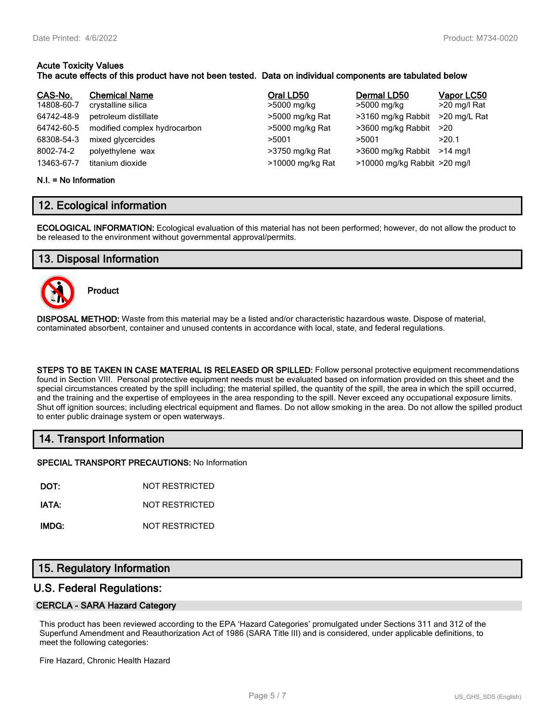#### **Acute Toxicity Values The acute effects of this product have not been tested. Data on individual components are tabulated below**

| CAS-No.    | <b>Chemical Name</b>         | Oral LD50        | Dermal LD50                  | Vapor LC50   |
|------------|------------------------------|------------------|------------------------------|--------------|
| 14808-60-7 | crystalline silica           | >5000 mg/kg      | >5000 mg/kg                  | >20 mg/l Rat |
| 64742-48-9 | petroleum distillate         | >5000 mg/kg Rat  | >3160 mg/kg Rabbit           | >20 mg/L Rat |
| 64742-60-5 | modified complex hydrocarbon | >5000 mg/kg Rat  | >3600 mg/kg Rabbit           | >20          |
| 68308-54-3 | mixed glycercides            | >5001            | >5001                        | >20.1        |
| 8002-74-2  | polyethylene wax             | >3750 mg/kg Rat  | >3600 mg/kg Rabbit           | $>14$ ma/l   |
| 13463-67-7 | titanium dioxide             | >10000 mg/kg Rat | >10000 mg/kg Rabbit >20 mg/l |              |

#### **N.I. = No Information**

## **12. Ecological information**

**ECOLOGICAL INFORMATION:** Ecological evaluation of this material has not been performed; however, do not allow the product to be released to the environment without governmental approval/permits.

## **13. Disposal Information**



**Product**

**DISPOSAL METHOD:** Waste from this material may be a listed and/or characteristic hazardous waste. Dispose of material, contaminated absorbent, container and unused contents in accordance with local, state, and federal regulations.

**STEPS TO BE TAKEN IN CASE MATERIAL IS RELEASED OR SPILLED:** Follow personal protective equipment recommendations found in Section VIII. Personal protective equipment needs must be evaluated based on information provided on this sheet and the special circumstances created by the spill including; the material spilled, the quantity of the spill, the area in which the spill occurred, and the training and the expertise of employees in the area responding to the spill. Never exceed any occupational exposure limits. Shut off ignition sources; including electrical equipment and flames. Do not allow smoking in the area. Do not allow the spilled product to enter public drainage system or open waterways.

## **14. Transport Information**

**SPECIAL TRANSPORT PRECAUTIONS:** No Information

**DOT:** NOT RESTRICTED

**IATA:** NOT RESTRICTED

**IMDG:** NOT RESTRICTED

## **15. Regulatory Information**

## **U.S. Federal Regulations:**

### **CERCLA - SARA Hazard Category**

This product has been reviewed according to the EPA 'Hazard Categories' promulgated under Sections 311 and 312 of the Superfund Amendment and Reauthorization Act of 1986 (SARA Title III) and is considered, under applicable definitions, to meet the following categories:

Fire Hazard, Chronic Health Hazard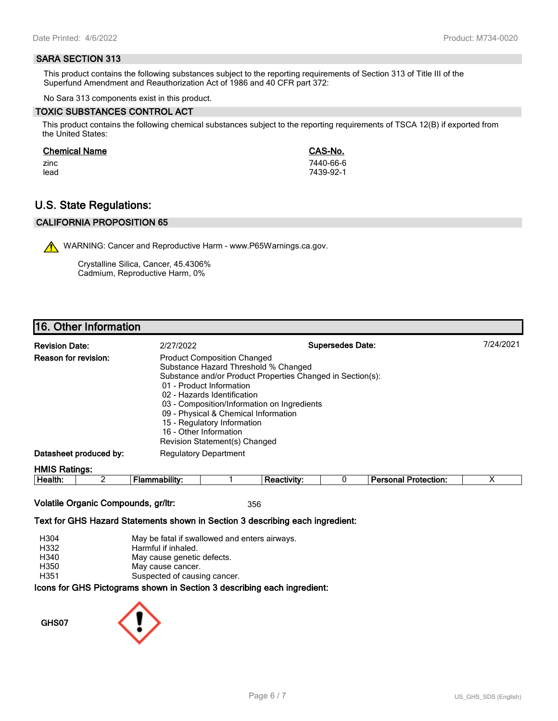### **SARA SECTION 313**

This product contains the following substances subject to the reporting requirements of Section 313 of Title III of the Superfund Amendment and Reauthorization Act of 1986 and 40 CFR part 372:

No Sara 313 components exist in this product.

#### **TOXIC SUBSTANCES CONTROL ACT**

This product contains the following chemical substances subject to the reporting requirements of TSCA 12(B) if exported from the United States:

#### **Chemical Name CAS-No.**

zinc 7440-66-6 lead 7439-92-1

## **U.S. State Regulations:**

## **CALIFORNIA PROPOSITION 65**

WARNING: Cancer and Reproductive Harm - www.P65Warnings.ca.gov.

Crystalline Silica, Cancer, 45.4306% Cadmium, Reproductive Harm, 0%

## **16. Other Information**

| <b>Revision Date:</b>       | 2/27/2022                                                                                                                                                                                                                                                                                                              | <b>Supersedes Date:</b>                                    | 7/24/2021 |
|-----------------------------|------------------------------------------------------------------------------------------------------------------------------------------------------------------------------------------------------------------------------------------------------------------------------------------------------------------------|------------------------------------------------------------|-----------|
| <b>Reason for revision:</b> | <b>Product Composition Changed</b><br>Substance Hazard Threshold % Changed<br>01 - Product Information<br>02 - Hazards Identification<br>03 - Composition/Information on Ingredients<br>09 - Physical & Chemical Information<br>15 - Regulatory Information<br>16 - Other Information<br>Revision Statement(s) Changed | Substance and/or Product Properties Changed in Section(s): |           |
| Datasheet produced by:      | <b>Regulatory Department</b>                                                                                                                                                                                                                                                                                           |                                                            |           |
| <b>HMIS Ratings:</b>        |                                                                                                                                                                                                                                                                                                                        |                                                            |           |

| . .<br>.<br>. TP<br><br>. .<br> |  | --- | m<br> |  |
|---------------------------------|--|-----|-------|--|
|                                 |  |     |       |  |

## **Volatile Organic Compounds, gr/ltr:** 356

#### **Text for GHS Hazard Statements shown in Section 3 describing each ingredient:**

| H304 | May be fatal if swallowed and enters airways.                   |
|------|-----------------------------------------------------------------|
| H332 | Harmful if inhaled.                                             |
| H340 | May cause genetic defects.                                      |
| H350 | May cause cancer.                                               |
| H351 | Suspected of causing cancer.                                    |
|      | cons for GHS Pictograms shown in Section 3 describing each ingr |

## ams snown in Section 3 describing each ingredient<mark>:</mark>

**GHS07**